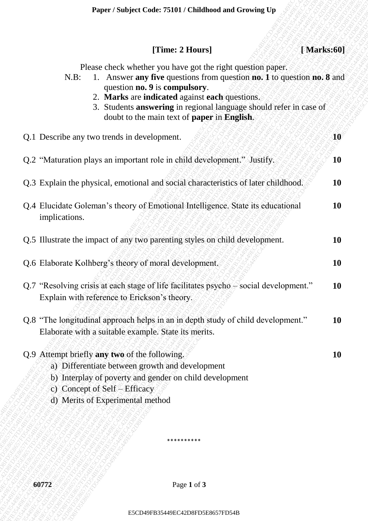## **[Time: 2 Hours] [ Marks:60]**

| N.B: | Answer any five questions from question no. 1 to question no. 8 and |  |  |  |
|------|---------------------------------------------------------------------|--|--|--|
|      | question <b>no.</b> 9 is <b>compulsory</b> .                        |  |  |  |

- 2. **Marks** are **indicated** against **each** questions.
- 3. Students **answering** in regional language should refer in case of doubt to the main text of **paper** in **English**.

| [Time: 2 Hours]<br>[Marks:60]                                                                                                                                                                                                                                                                                                                                           |           |
|-------------------------------------------------------------------------------------------------------------------------------------------------------------------------------------------------------------------------------------------------------------------------------------------------------------------------------------------------------------------------|-----------|
| Please check whether you have got the right question paper.<br>1. Answer any five questions from question no. 1 to question no. 8 and<br>$N.B$ :<br>question no. 9 is compulsory.<br>2. Marks are indicated against each questions.<br>3. Students answering in regional language should refer in case of<br>doubt to the main text of <b>paper</b> in <b>English</b> . |           |
| Q.1 Describe any two trends in development.                                                                                                                                                                                                                                                                                                                             | 10        |
| Q.2 "Maturation plays an important role in child development." Justify.                                                                                                                                                                                                                                                                                                 | 10        |
| Q.3 Explain the physical, emotional and social characteristics of later childhood.                                                                                                                                                                                                                                                                                      | <b>10</b> |
| Q.4 Elucidate Goleman's theory of Emotional Intelligence. State its educational<br>implications.                                                                                                                                                                                                                                                                        | <b>10</b> |
| Q.5 Illustrate the impact of any two parenting styles on child development.                                                                                                                                                                                                                                                                                             | 10        |
| Q.6 Elaborate Kolhberg's theory of moral development.                                                                                                                                                                                                                                                                                                                   | 10        |
| Q.7 "Resolving crisis at each stage of life facilitates psycho – social development."<br>Explain with reference to Erickson's theory.                                                                                                                                                                                                                                   | <b>10</b> |
| Q.8 "The longitudinal approach helps in an in depth study of child development."<br>Elaborate with a suitable example. State its merits.                                                                                                                                                                                                                                | 10        |
| Q.9 Attempt briefly any two of the following.<br>a) Differentiate between growth and development<br>b) Interplay of poverty and gender on child development<br>c) Concept of Self – Efficacy<br>d) Merits of Experimental method                                                                                                                                        | 10        |
| **********                                                                                                                                                                                                                                                                                                                                                              |           |
| 60772<br>Page 1 of 3                                                                                                                                                                                                                                                                                                                                                    |           |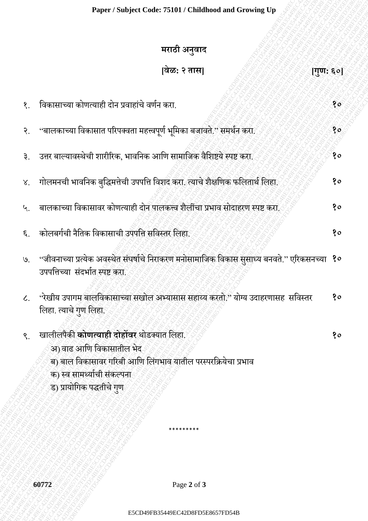## **Paper / Subject Code: 75101 / Childhood and Growing Up**

|                             | मराठी अनुवाद                                                                                                                                                                                               |                                                                                         |
|-----------------------------|------------------------------------------------------------------------------------------------------------------------------------------------------------------------------------------------------------|-----------------------------------------------------------------------------------------|
|                             | [वेळ: २ तास]                                                                                                                                                                                               | $\left[\overline{\mathbf{u}}\overline{\mathbf{u}}\mathbf{u}\mathbf{u}\mathbf{c}\right]$ |
| $\mathcal{S}_{\cdot}$       | विकासाच्या कोणत्याही दोन प्रवाहांचे वर्णन करा.                                                                                                                                                             | १०                                                                                      |
| २.                          | ''बालकाच्या विकासात परिपक्वता महत्त्वपूर्ण भूमिका बजावते.'' समर्थन करा.                                                                                                                                    | १०                                                                                      |
| ३.                          | उत्तर बाल्यावस्थेची शारीरिक, भावनिक आणि सामाजिक वैशिष्टये स्पष्ट करा.                                                                                                                                      | १०                                                                                      |
| $\lambda^{\cdot}$           | गोलमनची भावनिक बुद्धिमत्तेची उपपत्ति विशद करा. त्याचे शैक्षणिक फलितार्थ लिहा.                                                                                                                              | १०                                                                                      |
| $\mathcal{L}_{\mathcal{L}}$ | बालकाच्या विकासावर कोणत्याही दोन पालकत्त्व शैलींचा प्रभाव सोदाहरण स्पष्ट करा.                                                                                                                              | १०                                                                                      |
| ६.                          | कोलबर्गची नैतिक विकासाची उपपत्ति सविस्तर लिहा.                                                                                                                                                             | 80                                                                                      |
|                             | ७. 'जीवनाच्या प्रत्येक अवस्थेत संघर्षाचे निराकरण मनोसामाजिक विकास सुसाध्य बनवते.'' एरिकसनच्या १०<br>उपपत्तिच्या संदर्भात स्पष्ट करा.                                                                       |                                                                                         |
| $\mathcal{L}_{\text{L}}$    | 'रेखीय उपागम बालविकासाच्या सखोल अभ्यासास सहाय्य करतो." योग्य उदाहरणासह सविस्तर<br>लिहा. त्याचे गुण लिहा.                                                                                                   | १०                                                                                      |
| $\mathcal{S}$ .             | खालीलपैकी <b>कोणत्याही दोहोंवर</b> थोडक्यात लिहा.<br>अ) वाढ आणि विकासातील भेद<br>ब) बाल विकासावर गरिबी आणि लिंगभाव यातील परस्परक्रियेचा प्रभाव<br>क) स्व सामर्थ्याची संकल्पना<br>ड) प्रायोगिक पद्धतीचे गुण | १०                                                                                      |
|                             |                                                                                                                                                                                                            |                                                                                         |
|                             | 60772<br>Page 2 of 3                                                                                                                                                                                       |                                                                                         |